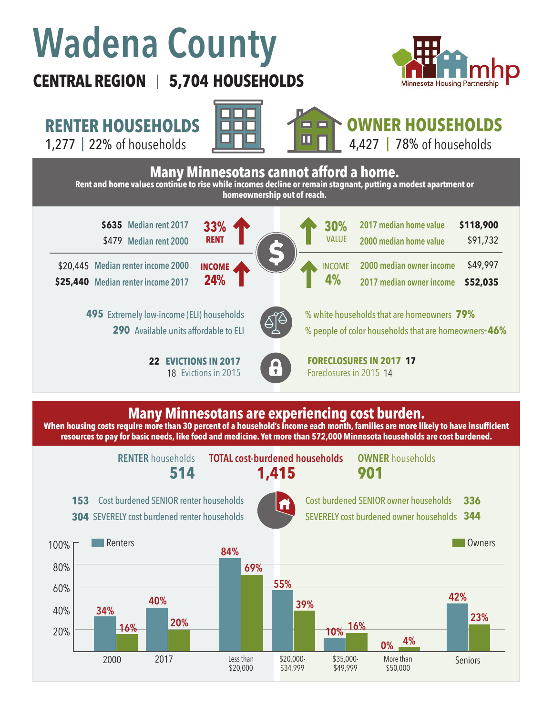# **Wadena County**

### **CENTRAL REGION 5,704 HOUSEHOLDS**  |



\$91,732

\$49,997 **\$52,035**

**OWNER HOUSEHOLDS**

**RENTER HOUSEHOLDS**

1,277 | 22% of households **INTERENT ALL 4,427 | 78%** 



## 4,427 |  $78\%$  of households

**30%**

VALUE

INCOME

**4%**

**Many Minnesotans cannot afford a home. Rent and home values continue to rise while incomes decline or remain stagnant, putting a modest apartment or homeownership out of reach.**



**Median renter income 2000**  \$20,445 **Median renter income 2017 \$25,440**

> Extremely low-income (ELI) households **495** 290 Available units affordable to ELI

> > **22 EVICTIONS IN 2017** 18 Evictions in 2015

**24%**

**INCOME**



% white households that are homeowners **79%** % people of color households that are homeowners\* **46%**

**2000 median owner income 2017 median owner income** 

**2017 median home value 2000 median home value** 

**EVICTIONS IN 2017 CONTRECLOSURES IN 2017 17** Foreclosures in 2015 14

#### **Many Minnesotans are experiencing cost burden.**

**When housing costs require more than 30 percent of a household's income each month, families are more likely to have insufficient resources to pay for basic needs, like food and medicine. Yet more than 572,000 Minnesota households are cost burdened.**